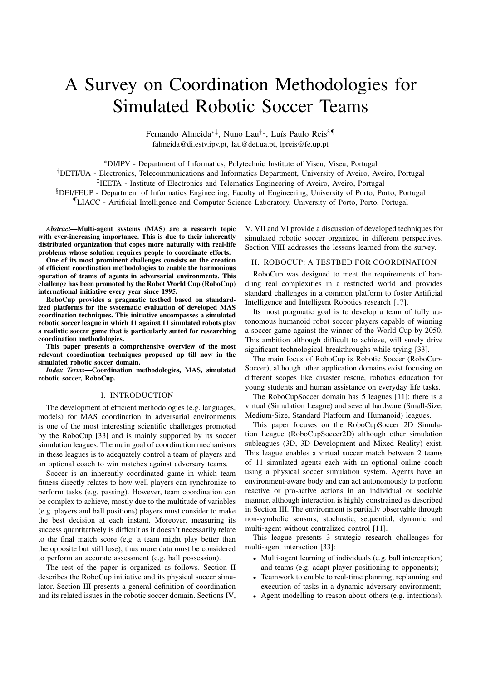# A Survey on Coordination Methodologies for Simulated Robotic Soccer Teams

Fernando Almeida<sup>∗‡</sup>, Nuno Lau<sup>†‡</sup>, Luís Paulo Reis<sup>§¶</sup> falmeida@di.estv.ipv.pt, lau@det.ua.pt, lpreis@fe.up.pt

<sup>∗</sup>DI/IPV - Department of Informatics, Polytechnic Institute of Viseu, Viseu, Portugal

†DETI/UA - Electronics, Telecommunications and Informatics Department, University of Aveiro, Aveiro, Portugal

‡ IEETA - Institute of Electronics and Telematics Engineering of Aveiro, Aveiro, Portugal

§DEI/FEUP - Department of Informatics Engineering, Faculty of Engineering, University of Porto, Porto, Portugal ¶LIACC - Artificial Intelligence and Computer Science Laboratory, University of Porto, Porto, Portugal

*Abstract*—Multi-agent systems (MAS) are a research topic with ever-increasing importance. This is due to their inherently distributed organization that copes more naturally with real-life problems whose solution requires people to coordinate efforts.

One of its most prominent challenges consists on the creation of efficient coordination methodologies to enable the harmonious operation of teams of agents in adversarial environments. This challenge has been promoted by the Robot World Cup (RoboCup) international initiative every year since 1995.

RoboCup provides a pragmatic testbed based on standardized platforms for the systematic evaluation of developed MAS coordination techniques. This initiative encompasses a simulated robotic soccer league in which 11 against 11 simulated robots play a realistic soccer game that is particularly suited for researching coordination methodologies.

This paper presents a comprehensive overview of the most relevant coordination techniques proposed up till now in the simulated robotic soccer domain.

*Index Terms*—Coordination methodologies, MAS, simulated robotic soccer, RoboCup.

# I. INTRODUCTION

The development of efficient methodologies (e.g. languages, models) for MAS coordination in adversarial environments is one of the most interesting scientific challenges promoted by the RoboCup [33] and is mainly supported by its soccer simulation leagues. The main goal of coordination mechanisms in these leagues is to adequately control a team of players and an optional coach to win matches against adversary teams.

Soccer is an inherently coordinated game in which team fitness directly relates to how well players can synchronize to perform tasks (e.g. passing). However, team coordination can be complex to achieve, mostly due to the multitude of variables (e.g. players and ball positions) players must consider to make the best decision at each instant. Moreover, measuring its success quantitatively is difficult as it doesn't necessarily relate to the final match score (e.g. a team might play better than the opposite but still lose), thus more data must be considered to perform an accurate assessment (e.g. ball possession).

The rest of the paper is organized as follows. Section II describes the RoboCup initiative and its physical soccer simulator. Section III presents a general definition of coordination and its related issues in the robotic soccer domain. Sections IV,

V, VII and VI provide a discussion of developed techniques for simulated robotic soccer organized in different perspectives. Section VIII addresses the lessons learned from the survey.

## II. ROBOCUP: A TESTBED FOR COORDINATION

RoboCup was designed to meet the requirements of handling real complexities in a restricted world and provides standard challenges in a common platform to foster Artificial Intelligence and Intelligent Robotics research [17].

Its most pragmatic goal is to develop a team of fully autonomous humanoid robot soccer players capable of winning a soccer game against the winner of the World Cup by 2050. This ambition although difficult to achieve, will surely drive significant technological breakthroughs while trying [33].

The main focus of RoboCup is Robotic Soccer (RoboCup-Soccer), although other application domains exist focusing on different scopes like disaster rescue, robotics education for young students and human assistance on everyday life tasks.

The RoboCupSoccer domain has 5 leagues [11]: there is a virtual (Simulation League) and several hardware (Small-Size, Medium-Size, Standard Platform and Humanoid) leagues.

This paper focuses on the RoboCupSoccer 2D Simulation League (RoboCupSoccer2D) although other simulation subleagues (3D, 3D Development and Mixed Reality) exist. This league enables a virtual soccer match between 2 teams of 11 simulated agents each with an optional online coach using a physical soccer simulation system. Agents have an environment-aware body and can act autonomously to perform reactive or pro-active actions in an individual or sociable manner, although interaction is highly constrained as described in Section III. The environment is partially observable through non-symbolic sensors, stochastic, sequential, dynamic and multi-agent without centralized control [11].

This league presents 3 strategic research challenges for multi-agent interaction [33]:

- Multi-agent learning of individuals (e.g. ball interception) and teams (e.g. adapt player positioning to opponents);
- Teamwork to enable to real-time planning, replanning and execution of tasks in a dynamic adversary environment;
- Agent modelling to reason about others (e.g. intentions).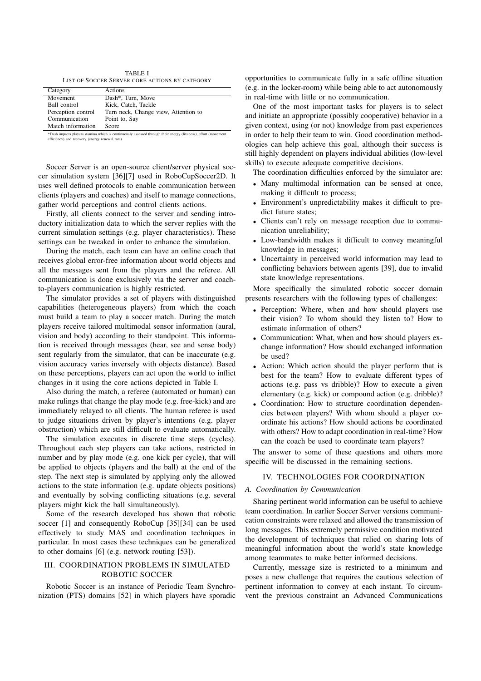TABLE I LIST OF SOCCER SERVER CORE ACTIONS BY CATEGORY

| Category           | Actions                              |
|--------------------|--------------------------------------|
| Movement           | Dash*, Turn, Move                    |
| Ball control       | Kick, Catch, Tackle                  |
| Perception control | Turn neck, Change view, Attention to |
| Communication      | Point to, Say                        |
| Match information  | <b>Score</b>                         |

\*Dash impacts players stamina which is continuously assessed through their energy (liveness), effort (movement efficiency) and recovery (energy renewal rate)

Soccer Server is an open-source client/server physical soccer simulation system [36][7] used in RoboCupSoccer2D. It uses well defined protocols to enable communication between clients (players and coaches) and itself to manage connections, gather world perceptions and control clients actions.

Firstly, all clients connect to the server and sending introductory initialization data to which the server replies with the current simulation settings (e.g. player characteristics). These settings can be tweaked in order to enhance the simulation.

During the match, each team can have an online coach that receives global error-free information about world objects and all the messages sent from the players and the referee. All communication is done exclusively via the server and coachto-players communication is highly restricted.

The simulator provides a set of players with distinguished capabilities (heterogeneous players) from which the coach must build a team to play a soccer match. During the match players receive tailored multimodal sensor information (aural, vision and body) according to their standpoint. This information is received through messages (hear, see and sense body) sent regularly from the simulator, that can be inaccurate (e.g. vision accuracy varies inversely with objects distance). Based on these perceptions, players can act upon the world to inflict changes in it using the core actions depicted in Table I.

Also during the match, a referee (automated or human) can make rulings that change the play mode (e.g. free-kick) and are immediately relayed to all clients. The human referee is used to judge situations driven by player's intentions (e.g. player obstruction) which are still difficult to evaluate automatically.

The simulation executes in discrete time steps (cycles). Throughout each step players can take actions, restricted in number and by play mode (e.g. one kick per cycle), that will be applied to objects (players and the ball) at the end of the step. The next step is simulated by applying only the allowed actions to the state information (e.g. update objects positions) and eventually by solving conflicting situations (e.g. several players might kick the ball simultaneously).

Some of the research developed has shown that robotic soccer [1] and consequently RoboCup [35][34] can be used effectively to study MAS and coordination techniques in particular. In most cases these techniques can be generalized to other domains [6] (e.g. network routing [53]).

## III. COORDINATION PROBLEMS IN SIMULATED ROBOTIC SOCCER

Robotic Soccer is an instance of Periodic Team Synchronization (PTS) domains [52] in which players have sporadic

opportunities to communicate fully in a safe offline situation (e.g. in the locker-room) while being able to act autonomously in real-time with little or no communication.

One of the most important tasks for players is to select and initiate an appropriate (possibly cooperative) behavior in a given context, using (or not) knowledge from past experiences in order to help their team to win. Good coordination methodologies can help achieve this goal, although their success is still highly dependent on players individual abilities (low-level skills) to execute adequate competitive decisions.

The coordination difficulties enforced by the simulator are:

- Many multimodal information can be sensed at once, making it difficult to process;
- Environment's unpredictability makes it difficult to predict future states;
- Clients can't rely on message reception due to communication unreliability;
- Low-bandwidth makes it difficult to convey meaningful knowledge in messages;
- Uncertainty in perceived world information may lead to conflicting behaviors between agents [39], due to invalid state knowledge representations.

More specifically the simulated robotic soccer domain presents researchers with the following types of challenges:

- Perception: Where, when and how should players use their vision? To whom should they listen to? How to estimate information of others?
- Communication: What, when and how should players exchange information? How should exchanged information be used?
- Action: Which action should the player perform that is best for the team? How to evaluate different types of actions (e.g. pass vs dribble)? How to execute a given elementary (e.g. kick) or compound action (e.g. dribble)?
- Coordination: How to structure coordination dependencies between players? With whom should a player coordinate his actions? How should actions be coordinated with others? How to adapt coordination in real-time? How can the coach be used to coordinate team players?

The answer to some of these questions and others more specific will be discussed in the remaining sections.

#### IV. TECHNOLOGIES FOR COORDINATION

#### *A. Coordination by Communication*

Sharing pertinent world information can be useful to achieve team coordination. In earlier Soccer Server versions communication constraints were relaxed and allowed the transmission of long messages. This extremely permissive condition motivated the development of techniques that relied on sharing lots of meaningful information about the world's state knowledge among teammates to make better informed decisions.

Currently, message size is restricted to a minimum and poses a new challenge that requires the cautious selection of pertinent information to convey at each instant. To circumvent the previous constraint an Advanced Communications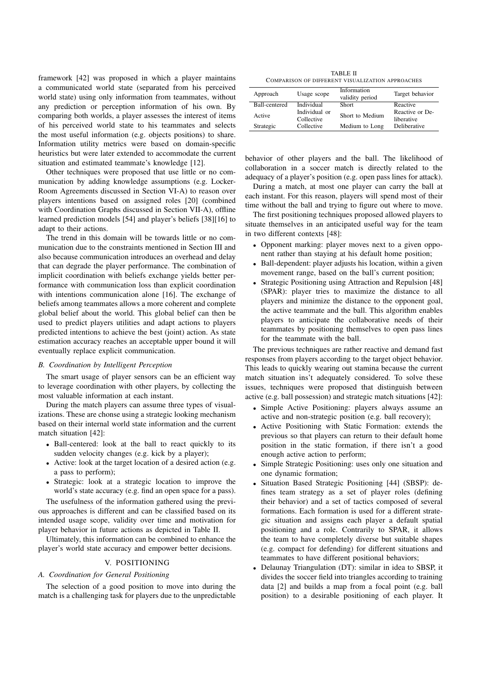framework [42] was proposed in which a player maintains a communicated world state (separated from his perceived world state) using only information from teammates, without any prediction or perception information of his own. By comparing both worlds, a player assesses the interest of items of his perceived world state to his teammates and selects the most useful information (e.g. objects positions) to share. Information utility metrics were based on domain-specific heuristics but were later extended to accommodate the current situation and estimated teammate's knowledge [12].

Other techniques were proposed that use little or no communication by adding knowledge assumptions (e.g. Locker-Room Agreements discussed in Section VI-A) to reason over players intentions based on assigned roles [20] (combined with Coordination Graphs discussed in Section VII-A), offline learned prediction models [54] and player's beliefs [38][16] to adapt to their actions.

The trend in this domain will be towards little or no communication due to the constraints mentioned in Section III and also because communication introduces an overhead and delay that can degrade the player performance. The combination of implicit coordination with beliefs exchange yields better performance with communication loss than explicit coordination with intentions communication alone [16]. The exchange of beliefs among teammates allows a more coherent and complete global belief about the world. This global belief can then be used to predict players utilities and adapt actions to players predicted intentions to achieve the best (joint) action. As state estimation accuracy reaches an acceptable upper bound it will eventually replace explicit communication.

#### *B. Coordination by Intelligent Perception*

The smart usage of player sensors can be an efficient way to leverage coordination with other players, by collecting the most valuable information at each instant.

During the match players can assume three types of visualizations. These are chonse using a strategic looking mechanism based on their internal world state information and the current match situation [42]:

- Ball-centered: look at the ball to react quickly to its sudden velocity changes (e.g. kick by a player);
- Active: look at the target location of a desired action (e.g. a pass to perform);
- Strategic: look at a strategic location to improve the world's state accuracy (e.g. find an open space for a pass).

The usefulness of the information gathered using the previous approaches is different and can be classified based on its intended usage scope, validity over time and motivation for player behavior in future actions as depicted in Table II.

Ultimately, this information can be combined to enhance the player's world state accuracy and empower better decisions.

#### V. POSITIONING

### *A. Coordination for General Positioning*

The selection of a good position to move into during the match is a challenging task for players due to the unpredictable

TABLE II COMPARISON OF DIFFERENT VISUALIZATION APPROACHES

| Approach      | Usage scope                 | Information<br>validity period | Target behavior               |
|---------------|-----------------------------|--------------------------------|-------------------------------|
| Ball-centered | Individual                  | <b>Short</b>                   | Reactive                      |
| Active        | Individual or<br>Collective | Short to Medium                | Reactive or De-<br>liberative |
| Strategic     | Collective                  | Medium to Long                 | Deliberative                  |

behavior of other players and the ball. The likelihood of collaboration in a soccer match is directly related to the adequacy of a player's position (e.g. open pass lines for attack).

During a match, at most one player can carry the ball at each instant. For this reason, players will spend most of their time without the ball and trying to figure out where to move.

The first positioning techniques proposed allowed players to situate themselves in an anticipated useful way for the team in two different contexts [48]:

- Opponent marking: player moves next to a given opponent rather than staying at his default home position;
- Ball-dependent: player adjusts his location, within a given movement range, based on the ball's current position;
- Strategic Positioning using Attraction and Repulsion [48] (SPAR): player tries to maximize the distance to all players and minimize the distance to the opponent goal, the active teammate and the ball. This algorithm enables players to anticipate the collaborative needs of their teammates by positioning themselves to open pass lines for the teammate with the ball.

The previous techniques are rather reactive and demand fast responses from players according to the target object behavior. This leads to quickly wearing out stamina because the current match situation ins't adequately considered. To solve these issues, techniques were proposed that distinguish between active (e.g. ball possession) and strategic match situations [42]:

- Simple Active Positioning: players always assume an active and non-strategic position (e.g. ball recovery);
- Active Positioning with Static Formation: extends the previous so that players can return to their default home position in the static formation, if there isn't a good enough active action to perform;
- Simple Strategic Positioning: uses only one situation and one dynamic formation;
- Situation Based Strategic Positioning [44] (SBSP): defines team strategy as a set of player roles (defining their behavior) and a set of tactics composed of several formations. Each formation is used for a different strategic situation and assigns each player a default spatial positioning and a role. Contrarily to SPAR, it allows the team to have completely diverse but suitable shapes (e.g. compact for defending) for different situations and teammates to have different positional behaviors;
- Delaunay Triangulation (DT): similar in idea to SBSP, it divides the soccer field into triangles according to training data [2] and builds a map from a focal point (e.g. ball position) to a desirable positioning of each player. It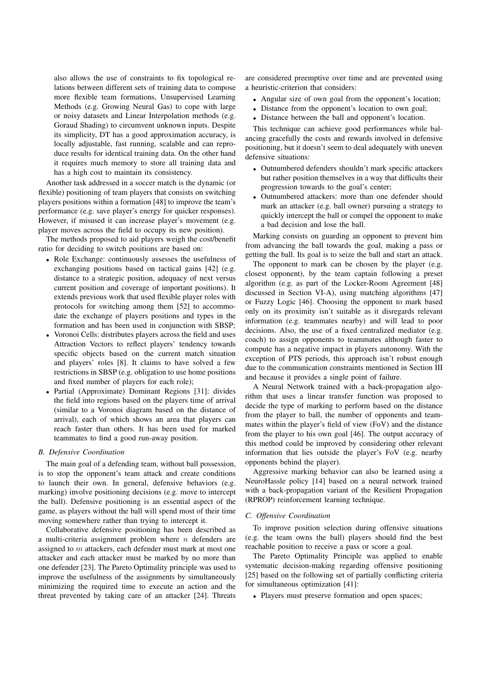also allows the use of constraints to fix topological relations between different sets of training data to compose more flexible team formations, Unsupervised Learning Methods (e.g. Growing Neural Gas) to cope with large or noisy datasets and Linear Interpolation methods (e.g. Goraud Shading) to circumvent unknown inputs. Despite its simplicity, DT has a good approximation accuracy, is locally adjustable, fast running, scalable and can reproduce results for identical training data. On the other hand it requires much memory to store all training data and has a high cost to maintain its consistency.

Another task addressed in a soccer match is the dynamic (or flexible) positioning of team players that consists on switching players positions within a formation [48] to improve the team's performance (e.g. save player's energy for quicker responses). However, if misused it can increase player's movement (e.g. player moves across the field to occupy its new position).

The methods proposed to aid players weigh the cost/benefit ratio for deciding to switch positions are based on:

- Role Exchange: continuously assesses the usefulness of exchanging positions based on tactical gains [42] (e.g. distance to a strategic position, adequacy of next versus current position and coverage of important positions). It extends previous work that used flexible player roles with protocols for switching among them [52] to accommodate the exchange of players positions and types in the formation and has been used in conjunction with SBSP;
- Voronoi Cells: distributes players across the field and uses Attraction Vectors to reflect players' tendency towards specific objects based on the current match situation and players' roles [8]. It claims to have solved a few restrictions in SBSP (e.g. obligation to use home positions and fixed number of players for each role);
- Partial (Approximate) Dominant Regions [31]: divides the field into regions based on the players time of arrival (similar to a Voronoi diagram based on the distance of arrival), each of which shows an area that players can reach faster than others. It has been used for marked teammates to find a good run-away position.

#### *B. Defensive Coordination*

The main goal of a defending team, without ball possession, is to stop the opponent's team attack and create conditions to launch their own. In general, defensive behaviors (e.g. marking) involve positioning decisions (e.g. move to intercept the ball). Defensive positioning is an essential aspect of the game, as players without the ball will spend most of their time moving somewhere rather than trying to intercept it.

Collaborative defensive positioning has been described as a multi-criteria assignment problem where  $n$  defenders are assigned to m attackers, each defender must mark at most one attacker and each attacker must be marked by no more than one defender [23]. The Pareto Optimality principle was used to improve the usefulness of the assignments by simultaneously minimizing the required time to execute an action and the threat prevented by taking care of an attacker [24]. Threats

are considered preemptive over time and are prevented using a heuristic-criterion that considers:

- Angular size of own goal from the opponent's location;
- Distance from the opponent's location to own goal;
- Distance between the ball and opponent's location.

This technique can achieve good performances while balancing gracefully the costs and rewards involved in defensive positioning, but it doesn't seem to deal adequately with uneven defensive situations:

- Outnumbered defenders shouldn't mark specific attackers but rather position themselves in a way that difficults their progression towards to the goal's center;
- Outnumbered attackers: more than one defender should mark an attacker (e.g. ball owner) pursuing a strategy to quickly intercept the ball or compel the opponent to make a bad decision and lose the ball.

Marking consists on guarding an opponent to prevent him from advancing the ball towards the goal, making a pass or getting the ball. Its goal is to seize the ball and start an attack.

The opponent to mark can be chosen by the player (e.g. closest opponent), by the team captain following a preset algorithm (e.g. as part of the Locker-Room Agreement [48] discussed in Section VI-A), using matching algorithms [47] or Fuzzy Logic [46]. Choosing the opponent to mark based only on its proximity isn't suitable as it disregards relevant information (e.g. teammates nearby) and will lead to poor decisions. Also, the use of a fixed centralized mediator (e.g. coach) to assign opponents to teammates although faster to compute has a negative impact in players autonomy. With the exception of PTS periods, this approach isn't robust enough due to the communication constraints mentioned in Section III and because it provides a single point of failure.

A Neural Network trained with a back-propagation algorithm that uses a linear transfer function was proposed to decide the type of marking to perform based on the distance from the player to ball, the number of opponents and teammates within the player's field of view (FoV) and the distance from the player to his own goal [46]. The output accuracy of this method could be improved by considering other relevant information that lies outside the player's FoV (e.g. nearby opponents behind the player).

Aggressive marking behavior can also be learned using a NeuroHassle policy [14] based on a neural network trained with a back-propagation variant of the Resilient Propagation (RPROP) reinforcement learning technique.

#### *C. Offensive Coordination*

To improve position selection during offensive situations (e.g. the team owns the ball) players should find the best reachable position to receive a pass or score a goal.

The Pareto Optimality Principle was applied to enable systematic decision-making regarding offensive positioning [25] based on the following set of partially conflicting criteria for simultaneous optimization [41]:

• Players must preserve formation and open spaces;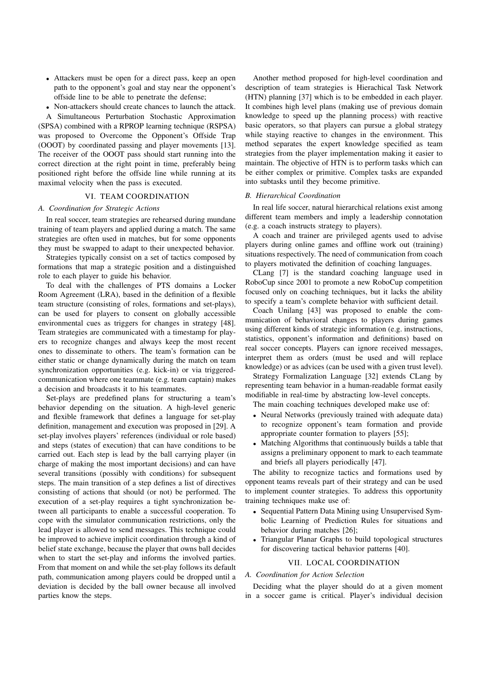- Attackers must be open for a direct pass, keep an open path to the opponent's goal and stay near the opponent's offside line to be able to penetrate the defense;
- Non-attackers should create chances to launch the attack.

A Simultaneous Perturbation Stochastic Approximation (SPSA) combined with a RPROP learning technique (RSPSA) was proposed to Overcome the Opponent's Offside Trap (OOOT) by coordinated passing and player movements [13]. The receiver of the OOOT pass should start running into the correct direction at the right point in time, preferably being positioned right before the offside line while running at its maximal velocity when the pass is executed.

### VI. TEAM COORDINATION

#### *A. Coordination for Strategic Actions*

In real soccer, team strategies are rehearsed during mundane training of team players and applied during a match. The same strategies are often used in matches, but for some opponents they must be swapped to adapt to their unexpected behavior.

Strategies typically consist on a set of tactics composed by formations that map a strategic position and a distinguished role to each player to guide his behavior.

To deal with the challenges of PTS domains a Locker Room Agreement (LRA), based in the definition of a flexible team structure (consisting of roles, formations and set-plays), can be used for players to consent on globally accessible environmental cues as triggers for changes in strategy [48]. Team strategies are communicated with a timestamp for players to recognize changes and always keep the most recent ones to disseminate to others. The team's formation can be either static or change dynamically during the match on team synchronization opportunities (e.g. kick-in) or via triggeredcommunication where one teammate (e.g. team captain) makes a decision and broadcasts it to his teammates.

Set-plays are predefined plans for structuring a team's behavior depending on the situation. A high-level generic and flexible framework that defines a language for set-play definition, management and execution was proposed in [29]. A set-play involves players' references (individual or role based) and steps (states of execution) that can have conditions to be carried out. Each step is lead by the ball carrying player (in charge of making the most important decisions) and can have several transitions (possibly with conditions) for subsequent steps. The main transition of a step defines a list of directives consisting of actions that should (or not) be performed. The execution of a set-play requires a tight synchronization between all participants to enable a successful cooperation. To cope with the simulator communication restrictions, only the lead player is allowed to send messages. This technique could be improved to achieve implicit coordination through a kind of belief state exchange, because the player that owns ball decides when to start the set-play and informs the involved parties. From that moment on and while the set-play follows its default path, communication among players could be dropped until a deviation is decided by the ball owner because all involved parties know the steps.

Another method proposed for high-level coordination and description of team strategies is Hierachical Task Network (HTN) planning [37] which is to be embedded in each player. It combines high level plans (making use of previous domain knowledge to speed up the planning process) with reactive basic operators, so that players can pursue a global strategy while staying reactive to changes in the environment. This method separates the expert knowledge specified as team strategies from the player implementation making it easier to maintain. The objective of HTN is to perform tasks which can be either complex or primitive. Complex tasks are expanded into subtasks until they become primitive.

## *B. Hierarchical Coordination*

In real life soccer, natural hierarchical relations exist among different team members and imply a leadership connotation (e.g. a coach instructs strategy to players).

A coach and trainer are privileged agents used to advise players during online games and offline work out (training) situations respectively. The need of communication from coach to players motivated the definition of coaching languages.

CLang [7] is the standard coaching language used in RoboCup since 2001 to promote a new RoboCup competition focused only on coaching techniques, but it lacks the ability to specify a team's complete behavior with sufficient detail.

Coach Unilang [43] was proposed to enable the communication of behavioral changes to players during games using different kinds of strategic information (e.g. instructions, statistics, opponent's information and definitions) based on real soccer concepts. Players can ignore received messages, interpret them as orders (must be used and will replace knowledge) or as advices (can be used with a given trust level).

Strategy Formalization Language [32] extends CLang by representing team behavior in a human-readable format easily modifiable in real-time by abstracting low-level concepts.

The main coaching techniques developed make use of:

- Neural Networks (previously trained with adequate data) to recognize opponent's team formation and provide appropriate counter formation to players [55];
- Matching Algorithms that continuously builds a table that assigns a preliminary opponent to mark to each teammate and briefs all players periodically [47].

The ability to recognize tactics and formations used by opponent teams reveals part of their strategy and can be used to implement counter strategies. To address this opportunity training techniques make use of:

- Sequential Pattern Data Mining using Unsupervised Symbolic Learning of Prediction Rules for situations and behavior during matches [26];
- Triangular Planar Graphs to build topological structures for discovering tactical behavior patterns [40].

## VII. LOCAL COORDINATION

## *A. Coordination for Action Selection*

Deciding what the player should do at a given moment in a soccer game is critical. Player's individual decision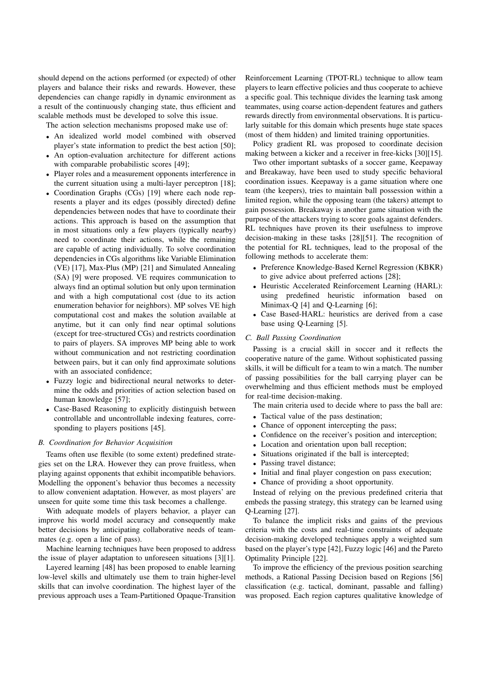should depend on the actions performed (or expected) of other players and balance their risks and rewards. However, these dependencies can change rapidly in dynamic environment as a result of the continuously changing state, thus efficient and scalable methods must be developed to solve this issue.

The action selection mechanisms proposed make use of:

- An idealized world model combined with observed player's state information to predict the best action [50];
- An option-evaluation architecture for different actions with comparable probabilistic scores [49];
- Player roles and a measurement opponents interference in the current situation using a multi-layer perceptron [18];
- Coordination Graphs (CGs) [19] where each node represents a player and its edges (possibly directed) define dependencies between nodes that have to coordinate their actions. This approach is based on the assumption that in most situations only a few players (typically nearby) need to coordinate their actions, while the remaining are capable of acting individually. To solve coordination dependencies in CGs algorithms like Variable Elimination (VE) [17], Max-Plus (MP) [21] and Simulated Annealing (SA) [9] were proposed. VE requires communication to always find an optimal solution but only upon termination and with a high computational cost (due to its action enumeration behavior for neighbors). MP solves VE high computational cost and makes the solution available at anytime, but it can only find near optimal solutions (except for tree-structured CGs) and restricts coordination to pairs of players. SA improves MP being able to work without communication and not restricting coordination between pairs, but it can only find approximate solutions with an associated confidence;
- Fuzzy logic and bidirectional neural networks to determine the odds and priorities of action selection based on human knowledge [57];
- Case-Based Reasoning to explicitly distinguish between controllable and uncontrollable indexing features, corresponding to players positions [45].

## *B. Coordination for Behavior Acquisition*

Teams often use flexible (to some extent) predefined strategies set on the LRA. However they can prove fruitless, when playing against opponents that exhibit incompatible behaviors. Modelling the opponent's behavior thus becomes a necessity to allow convenient adaptation. However, as most players' are unseen for quite some time this task becomes a challenge.

With adequate models of players behavior, a player can improve his world model accuracy and consequently make better decisions by anticipating collaborative needs of teammates (e.g. open a line of pass).

Machine learning techniques have been proposed to address the issue of player adaptation to unforeseen situations [3][1].

Layered learning [48] has been proposed to enable learning low-level skills and ultimately use them to train higher-level skills that can involve coordination. The highest layer of the previous approach uses a Team-Partitioned Opaque-Transition

Reinforcement Learning (TPOT-RL) technique to allow team players to learn effective policies and thus cooperate to achieve a specific goal. This technique divides the learning task among teammates, using coarse action-dependent features and gathers rewards directly from environmental observations. It is particularly suitable for this domain which presents huge state spaces (most of them hidden) and limited training opportunities.

Policy gradient RL was proposed to coordinate decision making between a kicker and a receiver in free-kicks [30][15].

Two other important subtasks of a soccer game, Keepaway and Breakaway, have been used to study specific behavioral coordination issues. Keepaway is a game situation where one team (the keepers), tries to maintain ball possession within a limited region, while the opposing team (the takers) attempt to gain possession. Breakaway is another game situation with the purpose of the attackers trying to score goals against defenders. RL techniques have proven its their usefulness to improve decision-making in these tasks [28][51]. The recognition of the potential for RL techniques, lead to the proposal of the following methods to accelerate them:

- Preference Knowledge-Based Kernel Regression (KBKR) to give advice about preferred actions [28];
- Heuristic Accelerated Reinforcement Learning (HARL): using predefined heuristic information based on Minimax-Q [4] and Q-Learning [6];
- Case Based-HARL: heuristics are derived from a case base using Q-Learning [5].

#### *C. Ball Passing Coordination*

Passing is a crucial skill in soccer and it reflects the cooperative nature of the game. Without sophisticated passing skills, it will be difficult for a team to win a match. The number of passing possibilities for the ball carrying player can be overwhelming and thus efficient methods must be employed for real-time decision-making.

The main criteria used to decide where to pass the ball are:

- Tactical value of the pass destination:
- Chance of opponent intercepting the pass;
- Confidence on the receiver's position and interception;
- Location and orientation upon ball reception;
- Situations originated if the ball is intercepted;
- Passing travel distance;
- Initial and final player congestion on pass execution;
- Chance of providing a shoot opportunity.

Instead of relying on the previous predefined criteria that embeds the passing strategy, this strategy can be learned using Q-Learning [27].

To balance the implicit risks and gains of the previous criteria with the costs and real-time constraints of adequate decision-making developed techniques apply a weighted sum based on the player's type [42], Fuzzy logic [46] and the Pareto Optimality Principle [22].

To improve the efficiency of the previous position searching methods, a Rational Passing Decision based on Regions [56] classification (e.g. tactical, dominant, passable and falling) was proposed. Each region captures qualitative knowledge of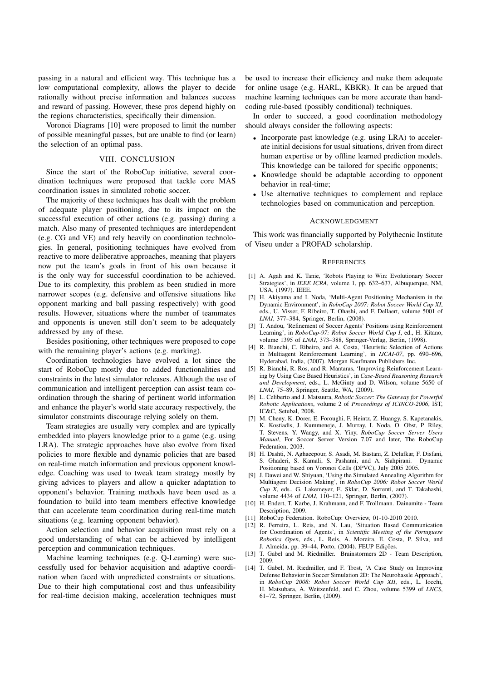passing in a natural and efficient way. This technique has a low computational complexity, allows the player to decide rationally without precise information and balances success and reward of passing. However, these pros depend highly on the regions characteristics, specifically their dimension.

Voronoi Diagrams [10] were proposed to limit the number of possible meaningful passes, but are unable to find (or learn) the selection of an optimal pass.

#### VIII. CONCLUSION

Since the start of the RoboCup initiative, several coordination techniques were proposed that tackle core MAS coordination issues in simulated robotic soccer.

The majority of these techniques has dealt with the problem of adequate player positioning, due to its impact on the successful execution of other actions (e.g. passing) during a match. Also many of presented techniques are interdependent (e.g. CG and VE) and rely heavily on coordination technologies. In general, positioning techniques have evolved from reactive to more deliberative approaches, meaning that players now put the team's goals in front of his own because it is the only way for successful coordination to be achieved. Due to its complexity, this problem as been studied in more narrower scopes (e.g. defensive and offensive situations like opponent marking and ball passing respectively) with good results. However, situations where the number of teammates and opponents is uneven still don't seem to be adequately addressed by any of these.

Besides positioning, other techniques were proposed to cope with the remaining player's actions (e.g. marking).

Coordination technologies have evolved a lot since the start of RoboCup mostly due to added functionalities and constraints in the latest simulator releases. Although the use of communication and intelligent perception can assist team coordination through the sharing of pertinent world information and enhance the player's world state accuracy respectively, the simulator constraints discourage relying solely on them.

Team strategies are usually very complex and are typically embedded into players knowledge prior to a game (e.g. using LRA). The strategic approaches have also evolve from fixed policies to more flexible and dynamic policies that are based on real-time match information and previous opponent knowledge. Coaching was used to tweak team strategy mostly by giving advices to players and allow a quicker adaptation to opponent's behavior. Training methods have been used as a foundation to build into team members effective knowledge that can accelerate team coordination during real-time match situations (e.g. learning opponent behavior).

Action selection and behavior acquisition must rely on a good understanding of what can be achieved by intelligent perception and communication techniques.

Machine learning techniques (e.g. Q-Learning) were successfully used for behavior acquisition and adaptive coordination when faced with unpredicted constraints or situations. Due to their high computational cost and thus unfeasibility for real-time decision making, acceleration techniques must be used to increase their efficiency and make them adequate for online usage (e.g. HARL, KBKR). It can be argued that machine learning techniques can be more accurate than handcoding rule-based (possibly conditional) techniques.

In order to succeed, a good coordination methodology should always consider the following aspects:

- Incorporate past knowledge (e.g. using LRA) to accelerate initial decisions for usual situations, driven from direct human expertise or by offline learned prediction models. This knowledge can be tailored for specific opponents;
- Knowledge should be adaptable according to opponent behavior in real-time;
- Use alternative techniques to complement and replace technologies based on communication and perception.

#### ACKNOWLEDGMENT

This work was financially supported by Polythecnic Institute of Viseu under a PROFAD scholarship.

#### **REFERENCES**

- [1] A. Agah and K. Tanie, 'Robots Playing to Win: Evolutionary Soccer Strategies', in *IEEE ICRA*, volume 1, pp. 632–637, Albuquerque, NM, USA, (1997). IEEE.
- [2] H. Akiyama and I. Noda, 'Multi-Agent Positioning Mechanism in the Dynamic Environment', in *RoboCup 2007: Robot Soccer World Cup XI*, eds., U. Visser, F. Ribeiro, T. Ohashi, and F. Dellaert, volume 5001 of *LNAI*, 377–384, Springer, Berlin, (2008).
- [3] T. Andou, 'Refinement of Soccer Agents' Positions using Reinforcement Learning', in *RoboCup-97: Robot Soccer World Cup I*, ed., H. Kitano, volume 1395 of *LNAI*, 373–388, Springer-Verlag, Berlin, (1998).
- [4] R. Bianchi, C. Ribeiro, and A. Costa, 'Heuristic Selection of Actions in Multiagent Reinforcement Learning', in *IJCAI-07*, pp. 690–696, Hyderabad, India, (2007). Morgan Kaufmann Publishers Inc.
- [5] R. Bianchi, R. Ros, and R. Mantaras, 'Improving Reinforcement Learning by Using Case Based Heuristics', in *Case-Based Reasoning Research and Development*, eds., L. McGinty and D. Wilson, volume 5650 of *LNAI*, 75–89, Springer, Seattle, WA, (2009).
- [6] L. Celiberto and J. Matsuura, *Robotic Soccer: The Gateway for Powerful Robotic Applications*, volume 2 of *Proceedings of ICINCO-2006*, IST, IC&C, Setubal, 2008.
- [7] M. Cheny, K. Dorer, E. Foroughi, F. Heintz, Z. Huangy, S. Kapetanakis, K. Kostiadis, J. Kummeneje, J. Murray, I. Noda, O. Obst, P. Riley, T. Stevens, Y. Wangy, and X. Yiny, *RoboCup Soccer Server Users Manual*, For Soccer Server Version 7.07 and later, The RoboCup Federation, 2003.
- [8] H. Dashti, N. Aghaeepour, S. Asadi, M. Bastani, Z. Delafkar, F. Disfani, S. Ghaderi, S. Kamali, S. Pashami, and A. Siahpirani. Dynamic Positioning based on Voronoi Cells (DPVC), July 2005 2005.
- [9] J. Dawei and W. Shiyuan, 'Using the Simulated Annealing Algorithm for Multiagent Decision Making', in *RoboCup 2006: Robot Soccer World Cup X*, eds., G. Lakemeyer, E. Sklar, D. Sorrenti, and T. Takahashi, volume 4434 of *LNAI*, 110–121, Springer, Berlin, (2007).
- [10] H. Endert, T. Karbe, J. Krahmann, and F. Trollmann. Dainamite Team Description, 2009.
- [11] RoboCup Federation. RoboCup: Overview, 01-10-2010 2010.
- [12] R. Ferreira, L. Reis, and N. Lau, 'Situation Based Communication for Coordination of Agents', in *Scientific Meeting of the Portuguese Robotics Open*, eds., L. Reis, A. Moreira, E. Costa, P. Silva, and J. Almeida, pp. 39-44, Porto, (2004). FEUP Edições
- [13] T. Gabel and M. Riedmiller. Brainstormers 2D Team Description, 2009.
- [14] T. Gabel, M. Riedmiller, and F. Trost, 'A Case Study on Improving Defense Behavior in Soccer Simulation 2D: The Neurohassle Approach', in *RoboCup 2008: Robot Soccer World Cup XII*, eds., L. Iocchi, H. Matsubara, A. Weitzenfeld, and C. Zhou, volume 5399 of *LNCS*, 61–72, Springer, Berlin, (2009).